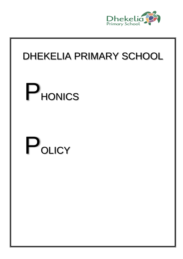

# DHEKELIA PRIMARY SCHOOL

# **P**HONICS